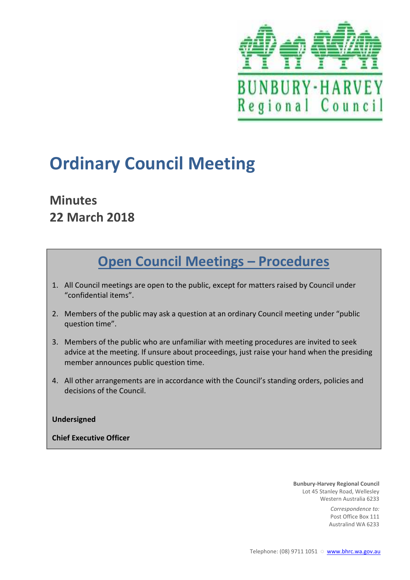

# **Ordinary Council Meeting**

# **Minutes 22 March 2018**

# **Open Council Meetings - Procedures**

- 1. All Council meetings are open to the public, except for matters raised by Council under "confidential items".
- 2. Members of the public may ask a question at an ordinary Council meeting under "public question time".
- 3. Members of the public who are unfamiliar with meeting procedures are invited to seek advice at the meeting. If unsure about proceedings, just raise your hand when the presiding member announces public question time.
- 4. All other arrangements are in accordance with the Council's standing orders, policies and decisions of the Council.

#### **Undersigned**

**Chief Executive Officer** 

**Bunbury-Harvey Regional Council** Lot 45 Stanley Road, Wellesley Western Australia 6233

> *Correspondence to:* Post Office Box 111 Australind WA 6233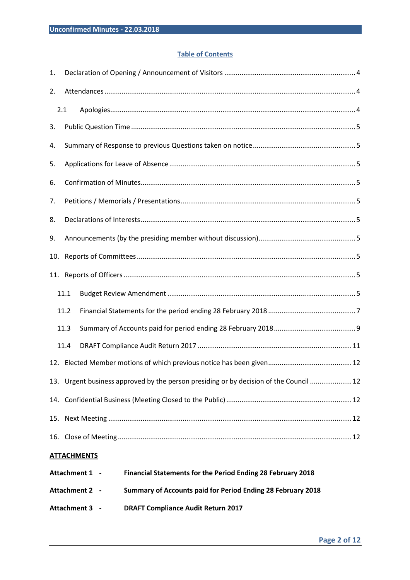#### **Table of Contents**

| 1.                                                                                   |                                                                               |                                                                                        |                |  |  |  |  |
|--------------------------------------------------------------------------------------|-------------------------------------------------------------------------------|----------------------------------------------------------------------------------------|----------------|--|--|--|--|
| 2.                                                                                   |                                                                               |                                                                                        |                |  |  |  |  |
|                                                                                      | 2.1                                                                           |                                                                                        |                |  |  |  |  |
| 3.                                                                                   |                                                                               |                                                                                        |                |  |  |  |  |
| 4.                                                                                   |                                                                               |                                                                                        |                |  |  |  |  |
| 5.                                                                                   |                                                                               |                                                                                        |                |  |  |  |  |
| 6.                                                                                   |                                                                               |                                                                                        |                |  |  |  |  |
| 7.                                                                                   |                                                                               |                                                                                        |                |  |  |  |  |
| 8.                                                                                   |                                                                               |                                                                                        |                |  |  |  |  |
| 9.                                                                                   |                                                                               |                                                                                        |                |  |  |  |  |
| 10.                                                                                  |                                                                               |                                                                                        |                |  |  |  |  |
|                                                                                      |                                                                               |                                                                                        |                |  |  |  |  |
|                                                                                      | 11.1                                                                          |                                                                                        |                |  |  |  |  |
|                                                                                      | 11.2                                                                          |                                                                                        |                |  |  |  |  |
|                                                                                      | 11.3                                                                          |                                                                                        |                |  |  |  |  |
|                                                                                      | 11.4                                                                          |                                                                                        |                |  |  |  |  |
|                                                                                      |                                                                               |                                                                                        |                |  |  |  |  |
|                                                                                      |                                                                               | 13. Urgent business approved by the person presiding or by decision of the Council  12 |                |  |  |  |  |
|                                                                                      |                                                                               |                                                                                        |                |  |  |  |  |
|                                                                                      |                                                                               |                                                                                        |                |  |  |  |  |
|                                                                                      |                                                                               |                                                                                        |                |  |  |  |  |
| <b>ATTACHMENTS</b>                                                                   |                                                                               |                                                                                        |                |  |  |  |  |
| Attachment 1 -<br><b>Financial Statements for the Period Ending 28 February 2018</b> |                                                                               |                                                                                        |                |  |  |  |  |
|                                                                                      | Attachment 2 -<br>Summary of Accounts paid for Period Ending 28 February 2018 |                                                                                        |                |  |  |  |  |
|                                                                                      |                                                                               | <b>DRAFT Compliance Audit Return 2017</b>                                              | Attachment 3 - |  |  |  |  |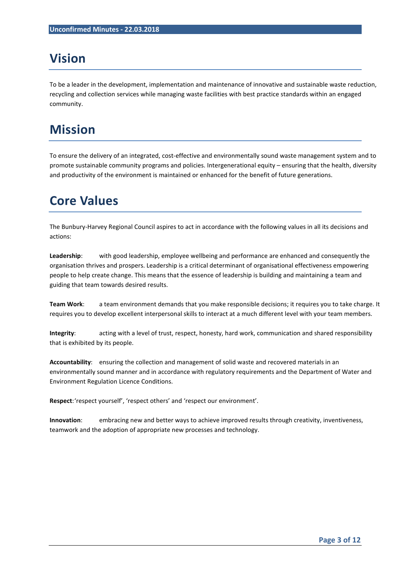# **Vision**

To be a leader in the development, implementation and maintenance of innovative and sustainable waste reduction, recycling and collection services while managing waste facilities with best practice standards within an engaged community.

# **Mission**

To ensure the delivery of an integrated, cost-effective and environmentally sound waste management system and to promote sustainable community programs and policies. Intergenerational equity – ensuring that the health, diversity and productivity of the environment is maintained or enhanced for the benefit of future generations.

## **Core Values**

The Bunbury-Harvey Regional Council aspires to act in accordance with the following values in all its decisions and actions:

**Leadership**: with good leadership, employee wellbeing and performance are enhanced and consequently the organisation thrives and prospers. Leadership is a critical determinant of organisational effectiveness empowering people to help create change. This means that the essence of leadership is building and maintaining a team and guiding that team towards desired results.

**Team Work**: a team environment demands that you make responsible decisions; it requires you to take charge. It requires you to develop excellent interpersonal skills to interact at a much different level with your team members.

**Integrity**: acting with a level of trust, respect, honesty, hard work, communication and shared responsibility that is exhibited by its people.

**Accountability**: ensuring the collection and management of solid waste and recovered materials in an environmentally sound manner and in accordance with regulatory requirements and the Department of Water and Environment Regulation Licence Conditions.

**Respect**: 'respect yourself', 'respect others' and 'respect our environment'.

**Innovation**: embracing new and better ways to achieve improved results through creativity, inventiveness, teamwork and the adoption of appropriate new processes and technology.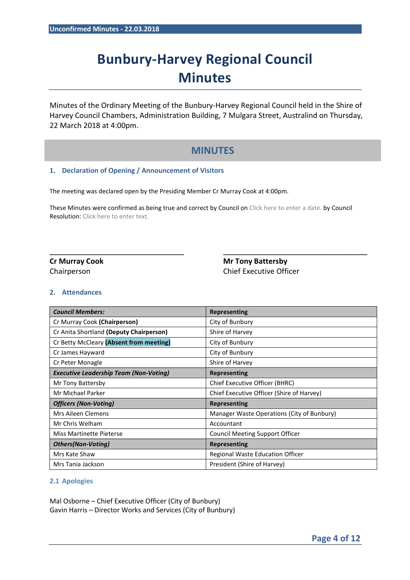# **Bunbury-Harvey Regional Council Minutes**

Minutes of the Ordinary Meeting of the Bunbury-Harvey Regional Council held in the Shire of Harvey Council Chambers, Administration Building, 7 Mulgara Street, Australind on Thursday, 22 March 2018 at 4:00pm.

### **MINUTES**

#### **1. Declaration of Opening / Announcement of Visitors**

The meeting was declared open by the Presiding Member Cr Murray Cook at 4:00pm.

These Minutes were confirmed as being true and correct by Council on Click here to enter a date. by Council Resolution: Click here to enter text.

\_\_\_\_\_\_\_\_\_\_\_\_\_\_\_\_\_\_\_\_\_\_\_\_\_\_\_\_ \_\_\_\_\_\_\_\_\_\_\_\_\_\_\_\_\_\_\_\_\_\_\_\_\_\_\_\_\_\_

**Cr Murray Cook Cr Murray Cook** Mr Tony Battersby Chairperson Chief Executive Officer

#### **2. Attendances**

| <b>Council Members:</b>                       | <b>Representing</b>                        |  |  |
|-----------------------------------------------|--------------------------------------------|--|--|
| Cr Murray Cook (Chairperson)                  | City of Bunbury                            |  |  |
| Cr Anita Shortland (Deputy Chairperson)       | Shire of Harvey                            |  |  |
| Cr Betty McCleary (Absent from meeting)       | City of Bunbury                            |  |  |
| Cr James Hayward                              | City of Bunbury                            |  |  |
| Cr Peter Monagle                              | Shire of Harvey                            |  |  |
| <b>Executive Leadership Team (Non-Voting)</b> | Representing                               |  |  |
| Mr Tony Battersby                             | Chief Executive Officer (BHRC)             |  |  |
| Mr Michael Parker                             | Chief Executive Officer (Shire of Harvey)  |  |  |
| <b>Officers (Non-Voting)</b>                  | <b>Representing</b>                        |  |  |
| Mrs Aileen Clemens                            | Manager Waste Operations (City of Bunbury) |  |  |
| Mr Chris Welham                               | Accountant                                 |  |  |
| Miss Martinette Pieterse                      | <b>Council Meeting Support Officer</b>     |  |  |
| <b>Others(Non-Voting)</b>                     | Representing                               |  |  |
| Mrs Kate Shaw                                 | Regional Waste Education Officer           |  |  |
| Mrs Tania Jackson                             | President (Shire of Harvey)                |  |  |

#### **2.1 Apologies**

Mal Osborne – Chief Executive Officer (City of Bunbury) Gavin Harris – Director Works and Services (City of Bunbury)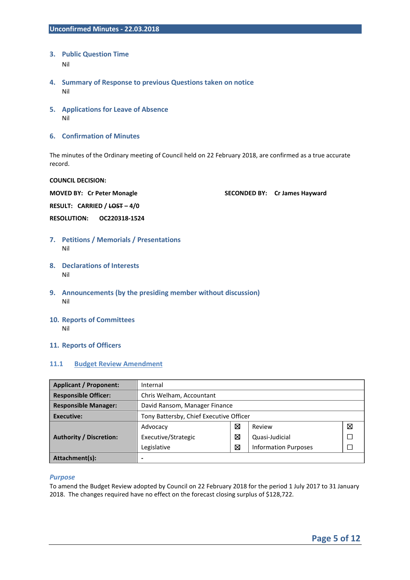- **3. Public Question Time**  Nil
- **4. Summary of Response to previous Questions taken on notice**  Nil
- **5. Applications for Leave of Absence**  Nil
- **6. Confirmation of Minutes**

The minutes of the Ordinary meeting of Council held on 22 February 2018, are confirmed as a true accurate record.

#### **COUNCIL DECISION:**

**MOVED BY: Cr Peter Monagle SECONDED BY: Cr James Hayward** 

**RESULT: CARRIED / LOST – 4/0** 

**RESOLUTION: OC220318-1524** 

- **7. Petitions / Memorials / Presentations**  Nil
- **8. Declarations of Interests**  Nil
- **9. Announcements (by the presiding member without discussion)**  Nil
- **10. Reports of Committees**  Nil
- **11. Reports of Officers**

#### **11.1 Budget Review Amendment**

| <b>Applicant / Proponent:</b>  | Internal                                |   |                             |   |  |
|--------------------------------|-----------------------------------------|---|-----------------------------|---|--|
| <b>Responsible Officer:</b>    | Chris Welham, Accountant                |   |                             |   |  |
| <b>Responsible Manager:</b>    | David Ransom, Manager Finance           |   |                             |   |  |
| <b>Executive:</b>              | Tony Battersby, Chief Executive Officer |   |                             |   |  |
|                                | Advocacy                                | ⊠ | Review                      | ⊠ |  |
| <b>Authority / Discretion:</b> | Executive/Strategic                     | ⊠ | Quasi-Judicial              |   |  |
|                                | Legislative                             | ⊠ | <b>Information Purposes</b> |   |  |
| Attachment(s):                 |                                         |   |                             |   |  |

#### *Purpose*

To amend the Budget Review adopted by Council on 22 February 2018 for the period 1 July 2017 to 31 January 2018. The changes required have no effect on the forecast closing surplus of \$128,722.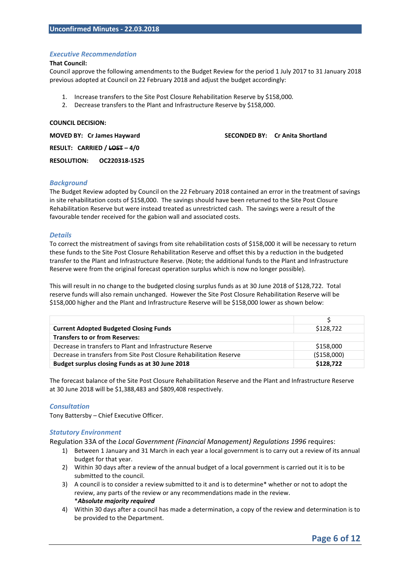#### *Executive Recommendation*

#### **That Council:**

Council approve the following amendments to the Budget Review for the period 1 July 2017 to 31 January 2018 previous adopted at Council on 22 February 2018 and adjust the budget accordingly:

- 1. Increase transfers to the Site Post Closure Rehabilitation Reserve by \$158,000.
- 2. Decrease transfers to the Plant and Infrastructure Reserve by \$158,000.

#### **COUNCIL DECISION:**

**RESULT: CARRIED / LOST – 4/0** 

**MOVED BY: Cr James Hayward SECONDED BY: Cr Anita Shortland CR Anita Shortland Shortland Shortland Shortland Shortland Shortland Shortland Shortland Shortland Shortland Shortland Shortland Shortland Shortland Shortland Sho** 

**RESOLUTION: OC220318-1525** 

#### *Background*

The Budget Review adopted by Council on the 22 February 2018 contained an error in the treatment of savings in site rehabilitation costs of \$158,000. The savings should have been returned to the Site Post Closure Rehabilitation Reserve but were instead treated as unrestricted cash. The savings were a result of the favourable tender received for the gabion wall and associated costs.

#### *Details*

To correct the mistreatment of savings from site rehabilitation costs of \$158,000 it will be necessary to return these funds to the Site Post Closure Rehabilitation Reserve and offset this by a reduction in the budgeted transfer to the Plant and Infrastructure Reserve. (Note; the additional funds to the Plant and Infrastructure Reserve were from the original forecast operation surplus which is now no longer possible).

This will result in no change to the budgeted closing surplus funds as at 30 June 2018 of \$128,722. Total reserve funds will also remain unchanged. However the Site Post Closure Rehabilitation Reserve will be \$158,000 higher and the Plant and Infrastructure Reserve will be \$158,000 lower as shown below:

| <b>Current Adopted Budgeted Closing Funds</b>                       | \$128,722   |
|---------------------------------------------------------------------|-------------|
| <b>Transfers to or from Reserves:</b>                               |             |
| Decrease in transfers to Plant and Infrastructure Reserve           | \$158,000   |
| Decrease in transfers from Site Post Closure Rehabilitation Reserve | (\$158,000) |
| Budget surplus closing Funds as at 30 June 2018                     | \$128,722   |

The forecast balance of the Site Post Closure Rehabilitation Reserve and the Plant and Infrastructure Reserve at 30 June 2018 will be \$1,388,483 and \$809,408 respectively.

#### *Consultation*

Tony Battersby – Chief Executive Officer.

#### *Statutory Environment*

Regulation 33A of the *Local Government (Financial Management) Regulations 1996* requires:

- 1) Between 1 January and 31 March in each year a local government is to carry out a review of its annual budget for that year.
- 2) Within 30 days after a review of the annual budget of a local government is carried out it is to be submitted to the council.
- 3) A council is to consider a review submitted to it and is to determine\* whether or not to adopt the review, any parts of the review or any recommendations made in the review. \**Absolute majority required*
- 4) Within 30 days after a council has made a determination, a copy of the review and determination is to be provided to the Department.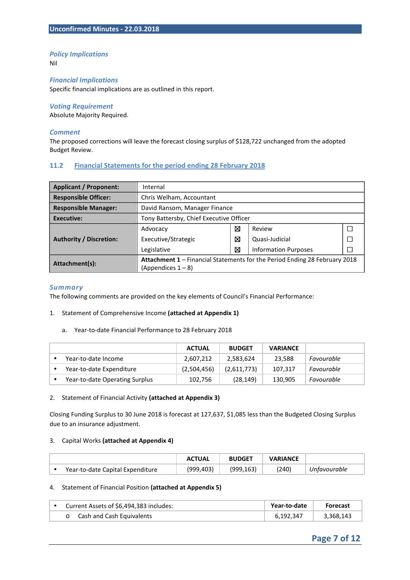#### *Policy Implications*

Nil

#### *Financial Implications*

Specific financial implications are as outlined in this report.

#### *Voting Requirement*

Absolute Majority Required.

#### *Comment*

The proposed corrections will leave the forecast closing surplus of \$128,722 unchanged from the adopted Budget Review.

#### **11.2 Financial Statements for the period ending 28 February 2018**

| <b>Applicant / Proponent:</b>  | Internal                                                                   |   |                             |  |  |
|--------------------------------|----------------------------------------------------------------------------|---|-----------------------------|--|--|
| <b>Responsible Officer:</b>    | Chris Welham, Accountant                                                   |   |                             |  |  |
| <b>Responsible Manager:</b>    | David Ransom, Manager Finance                                              |   |                             |  |  |
| <b>Executive:</b>              | Tony Battersby, Chief Executive Officer                                    |   |                             |  |  |
|                                | Advocacy                                                                   | ⊠ | Review                      |  |  |
| <b>Authority / Discretion:</b> | Executive/Strategic                                                        | ⊠ | Quasi-Judicial              |  |  |
|                                | Legislative                                                                | ⊠ | <b>Information Purposes</b> |  |  |
| Attachment(s):                 | Attachment 1 - Financial Statements for the Period Ending 28 February 2018 |   |                             |  |  |
|                                | (Appendices $1 - 8$ )                                                      |   |                             |  |  |

#### *Summary*

The following comments are provided on the key elements of Council's Financial Performance:

#### 1. Statement of Comprehensive Income **(attached at Appendix 1)**

a. Year-to-date Financial Performance to 28 February 2018

|                                | <b>ACTUAL</b> | <b>BUDGET</b> | <b>VARIANCE</b> |            |
|--------------------------------|---------------|---------------|-----------------|------------|
| Year-to-date Income            | 2,607,212     | 2,583,624     | 23,588          | Favourable |
| Year-to-date Expenditure       | (2,504,456)   | (2,611,773)   | 107,317         | Favourable |
| Year-to-date Operating Surplus | 102,756       | (28, 149)     | 130,905         | Favourable |

#### 2. Statement of Financial Activity **(attached at Appendix 3)**

Closing Funding Surplus to 30 June 2018 is forecast at 127,637, \$1,085 less than the Budgeted Closing Surplus due to an insurance adjustment.

#### 3. Capital Works **(attached at Appendix 4)**

|                                  | <b>ACTUAL</b> | <b>BUDGET</b> | VARIANCE |              |
|----------------------------------|---------------|---------------|----------|--------------|
| Year-to-date Capital Expenditure | (999,403)     | (999,163)     | (240)    | Unfavourable |

#### 4. Statement of Financial Position **(attached at Appendix 5)**

| Current Assets of \$6,494,383 includes: | Year-to-date | <b>Forecast</b> |
|-----------------------------------------|--------------|-----------------|
| o Cash and Cash Equivalents             | 6.192.347    | 3,368,143       |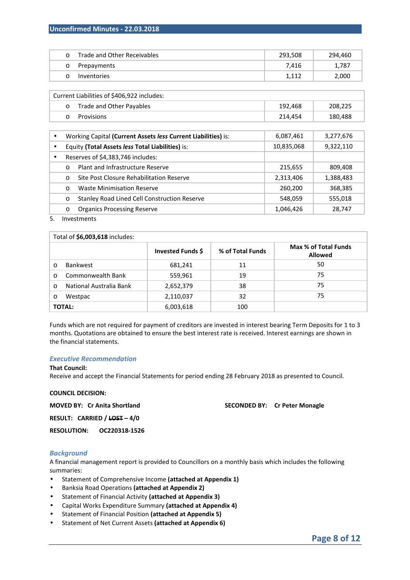#### **Unconfirmed Minutes - 22.03.2018**

| Trade and Other Receivables | 293,508 | 294,460 |
|-----------------------------|---------|---------|
| Prepayments                 | 7.416   | 1,787   |
| Inventories                 |         | 2,000   |

|           | Current Liabilities of \$406,922 includes:                    |            |           |  |  |  |  |
|-----------|---------------------------------------------------------------|------------|-----------|--|--|--|--|
|           | Trade and Other Payables<br>$\circ$                           | 192,468    | 208,225   |  |  |  |  |
|           | Provisions<br>$\Omega$                                        | 214,454    | 180,488   |  |  |  |  |
|           |                                                               |            |           |  |  |  |  |
| $\bullet$ | Working Capital (Current Assets less Current Liabilities) is: | 6,087,461  | 3,277,676 |  |  |  |  |
|           | Equity (Total Assets less Total Liabilities) is:              | 10,835,068 | 9,322,110 |  |  |  |  |
| $\bullet$ | Reserves of \$4,383,746 includes:                             |            |           |  |  |  |  |
|           | Plant and Infrastructure Reserve<br>$\Omega$                  | 215,655    | 809,408   |  |  |  |  |
|           | Site Post Closure Rehabilitation Reserve<br>$\circ$           | 2,313,406  | 1,388,483 |  |  |  |  |
|           | <b>Waste Minimisation Reserve</b><br>$\Omega$                 | 260,200    | 368,385   |  |  |  |  |
|           | Stanley Road Lined Cell Construction Reserve<br>$\circ$       | 548,059    | 555,018   |  |  |  |  |
|           | <b>Organics Processing Reserve</b><br>$\circ$                 | 1,046,426  | 28,747    |  |  |  |  |

#### 5. Investments

|               | Total of \$6,003,618 includes: |                   |                  |                                        |  |  |  |
|---------------|--------------------------------|-------------------|------------------|----------------------------------------|--|--|--|
|               |                                | Invested Funds \$ | % of Total Funds | Max % of Total Funds<br><b>Allowed</b> |  |  |  |
| $\circ$       | <b>Bankwest</b>                | 681,241           | 11               | 50                                     |  |  |  |
| $\Omega$      | Commonwealth Bank              | 559,961           | 19               | 75                                     |  |  |  |
| $\Omega$      | National Australia Bank        | 2,652,379         | 38               | 75                                     |  |  |  |
| $\circ$       | Westpac                        | 2,110,037         | 32               | 75                                     |  |  |  |
| <b>TOTAL:</b> |                                | 6,003,618         | 100              |                                        |  |  |  |

Funds which are not required for payment of creditors are invested in interest bearing Term Deposits for 1 to 3 months. Quotations are obtained to ensure the best interest rate is received. Interest earnings are shown in the financial statements.

#### *Executive Recommendation*

#### **That Council:**

Receive and accept the Financial Statements for period ending 28 February 2018 as presented to Council.

#### **COUNCIL DECISION:**

**MOVED BY: Cr Anita Shortland SECONDED BY: Cr Peter Monagle SECONDED BY: Cr Peter Monagle** 

**RESULT: CARRIED / LOST – 4/0** 

**RESOLUTION: OC220318-1526** 

#### *Background*

A financial management report is provided to Councillors on a monthly basis which includes the following summaries:

- Statement of Comprehensive Income **(attached at Appendix 1)**
- Banksia Road Operations **(attached at Appendix 2)**
- Statement of Financial Activity **(attached at Appendix 3)**
- Capital Works Expenditure Summary **(attached at Appendix 4)**
- Statement of Financial Position **(attached at Appendix 5)**
- Statement of Net Current Assets **(attached at Appendix 6)**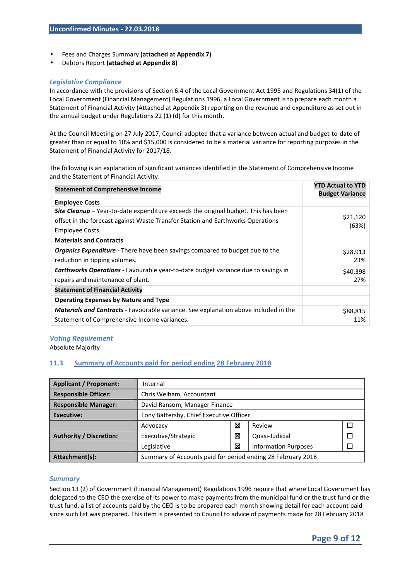- Fees and Charges Summary **(attached at Appendix 7)**
- Debtors Report **(attached at Appendix 8)**

#### *Legislative Compliance*

In accordance with the provisions of Section 6.4 of the Local Government Act 1995 and Regulations 34(1) of the Local Government (Financial Management) Regulations 1996, a Local Government is to prepare each month a Statement of Financial Activity (Attached at Appendix 3) reporting on the revenue and expenditure as set out in the annual budget under Regulations 22 (1) (d) for this month.

At the Council Meeting on 27 July 2017, Council adopted that a variance between actual and budget-to-date of greater than or equal to 10% and \$15,000 is considered to be a material variance for reporting purposes in the Statement of Financial Activity for 2017/18.

The following is an explanation of significant variances identified in the Statement of Comprehensive Income and the Statement of Financial Activity:

| <b>Statement of Comprehensive Income</b>                                                    | <b>YTD Actual to YTD</b> |
|---------------------------------------------------------------------------------------------|--------------------------|
|                                                                                             | <b>Budget Variance</b>   |
| <b>Employee Costs</b>                                                                       |                          |
| <b>Site Cleanup</b> – Year-to-date expenditure exceeds the original budget. This has been   |                          |
| offset in the forecast against Waste Transfer Station and Earthworks Operations             | \$21,120<br>(63%)        |
| Employee Costs.                                                                             |                          |
| <b>Materials and Contracts</b>                                                              |                          |
| <b>Organics Expenditure</b> - There have been savings compared to budget due to the         | \$28,913                 |
| reduction in tipping volumes.                                                               | 23%                      |
| <b>Earthworks Operations</b> - Favourable year-to-date budget variance due to savings in    | \$40,398                 |
| repairs and maintenance of plant.                                                           | 27%                      |
| <b>Statement of Financial Activity</b>                                                      |                          |
| <b>Operating Expenses by Nature and Type</b>                                                |                          |
| <b>Materials and Contracts</b> - Favourable variance. See explanation above included in the | \$88,815                 |
| Statement of Comprehensive Income variances.                                                | 11%                      |

#### *Voting Requirement*

Absolute Majority

#### **11.3 Summary of Accounts paid for period ending 28 February 2018**

| <b>Applicant / Proponent:</b>  | Internal                                                    |   |                             |  |  |  |
|--------------------------------|-------------------------------------------------------------|---|-----------------------------|--|--|--|
| <b>Responsible Officer:</b>    | Chris Welham, Accountant                                    |   |                             |  |  |  |
| <b>Responsible Manager:</b>    | David Ransom, Manager Finance                               |   |                             |  |  |  |
| Executive:                     | Tony Battersby, Chief Executive Officer                     |   |                             |  |  |  |
|                                | Advocacy                                                    | ⊠ | Review                      |  |  |  |
| <b>Authority / Discretion:</b> | Executive/Strategic                                         | ⊠ | Quasi-Judicial              |  |  |  |
|                                | Legislative                                                 | ⊠ | <b>Information Purposes</b> |  |  |  |
| Attachment(s):                 | Summary of Accounts paid for period ending 28 February 2018 |   |                             |  |  |  |

#### *Summary*

Section 13 (2) of Government (Financial Management) Regulations 1996 require that where Local Government has delegated to the CEO the exercise of its power to make payments from the municipal fund or the trust fund or the trust fund, a list of accounts paid by the CEO is to be prepared each month showing detail for each account paid since such list was prepared. This item is presented to Council to advice of payments made for 28 February 2018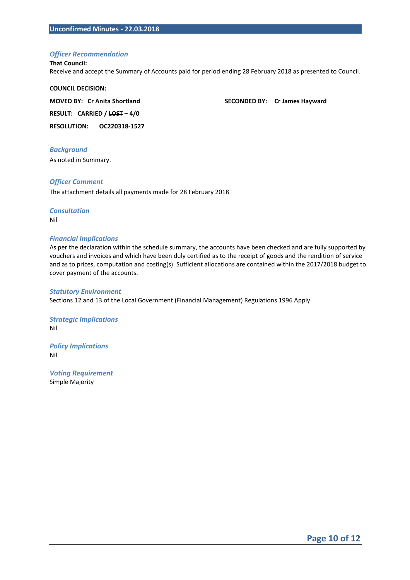#### *Officer Recommendation*

#### **That Council:**

Receive and accept the Summary of Accounts paid for period ending 28 February 2018 as presented to Council.

**COUNCIL DECISION: RESULT: CARRIED / LOST – 4/0** 

**MOVED BY: Cr Anita Shortland SECONDED BY: Cr James Hayward** 

**RESOLUTION: OC220318-1527** 

#### *Background*

As noted in Summary.

#### *Officer Comment*

The attachment details all payments made for 28 February 2018

#### *Consultation*  Nil

#### *Financial Implications*

As per the declaration within the schedule summary, the accounts have been checked and are fully supported by vouchers and invoices and which have been duly certified as to the receipt of goods and the rendition of service and as to prices, computation and costing(s). Sufficient allocations are contained within the 2017/2018 budget to cover payment of the accounts.

#### *Statutory Environment*

Sections 12 and 13 of the Local Government (Financial Management) Regulations 1996 Apply.

*Strategic Implications*  Nil

*Policy Implications*  Nil

*Voting Requirement*  Simple Majority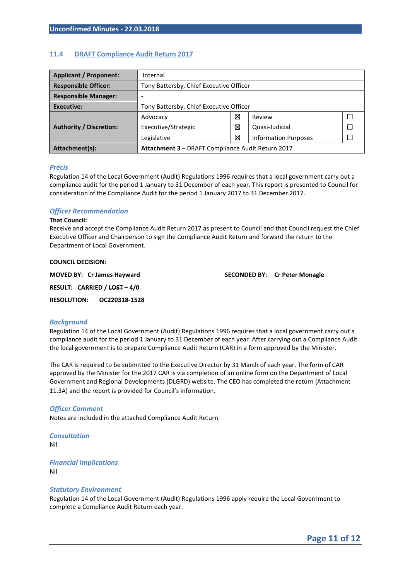#### **11.4 DRAFT Compliance Audit Return 2017**

| <b>Applicant / Proponent:</b>  | Internal                                                 |   |                             |  |  |  |
|--------------------------------|----------------------------------------------------------|---|-----------------------------|--|--|--|
| <b>Responsible Officer:</b>    | Tony Battersby, Chief Executive Officer                  |   |                             |  |  |  |
| <b>Responsible Manager:</b>    |                                                          |   |                             |  |  |  |
| Executive:                     | Tony Battersby, Chief Executive Officer                  |   |                             |  |  |  |
|                                | Advocacy                                                 | ⊠ | Review                      |  |  |  |
| <b>Authority / Discretion:</b> | Executive/Strategic                                      | ⊠ | Quasi-Judicial              |  |  |  |
|                                | Legislative                                              | ⊠ | <b>Information Purposes</b> |  |  |  |
| Attachment(s):                 | <b>Attachment 3 - DRAFT Compliance Audit Return 2017</b> |   |                             |  |  |  |

#### *Précis*

Regulation 14 of the Local Government (Audit) Regulations 1996 requires that a local government carry out a compliance audit for the period 1 January to 31 December of each year. This report is presented to Council for consideration of the Compliance Audit for the period 1 January 2017 to 31 December 2017.

#### *Officer Recommendation*

#### **That Council:**

Receive and accept the Compliance Audit Return 2017 as present to Council and that Council request the Chief Executive Officer and Chairperson to sign the Compliance Audit Return and forward the return to the Department of Local Government.

# **COUNCIL DECISION:**

**MOVED BY: Cr James Hayward SECONDED BY: Cr Peter Monagle** 

**RESULT: CARRIED / LOST – 4/0** 

**RESOLUTION: OC220318-1528**

#### *Background*

Regulation 14 of the Local Government (Audit) Regulations 1996 requires that a local government carry out a compliance audit for the period 1 January to 31 December of each year. After carrying out a Compliance Audit the local government is to prepare Compliance Audit Return (CAR) in a form approved by the Minister.

The CAR is required to be submitted to the Executive Director by 31 March of each year. The form of CAR approved by the Minister for the 2017 CAR is via completion of an online form on the Department of Local Government and Regional Developments (DLGRD) website. The CEO has completed the return (Attachment 11.3A) and the report is provided for Council's information.

#### *Officer Comment*

Notes are included in the attached Compliance Audit Return.

*Consultation*  Nil

*Financial Implications*  Nil

#### *Statutory Environment*

Regulation 14 of the Local Government (Audit) Regulations 1996 apply require the Local Government to complete a Compliance Audit Return each year.